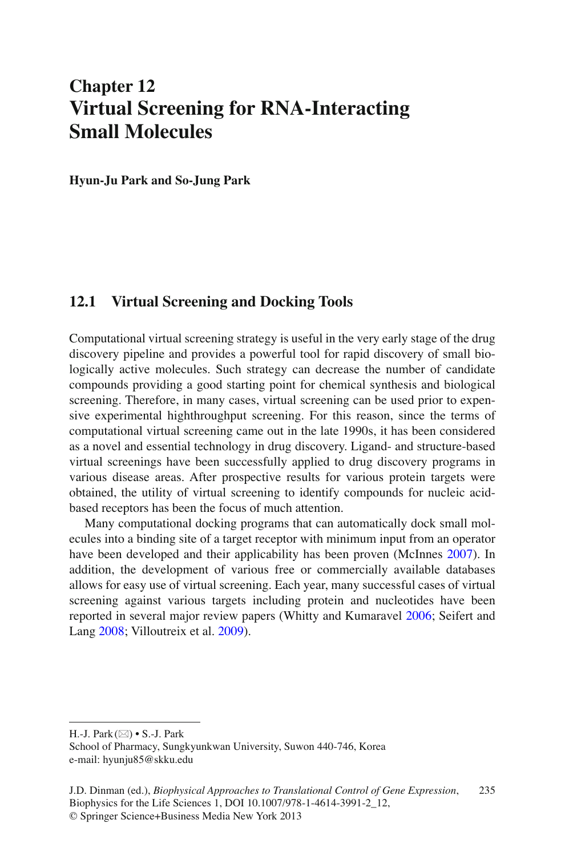# **Chapter 12 Virtual Screening for RNA-Interacting Small Molecules**

 **Hyun-Ju Park and So-Jung Park** 

## **12.1 Virtual Screening and Docking Tools**

 Computational virtual screening strategy is useful in the very early stage of the drug discovery pipeline and provides a powerful tool for rapid discovery of small biologically active molecules. Such strategy can decrease the number of candidate compounds providing a good starting point for chemical synthesis and biological screening. Therefore, in many cases, virtual screening can be used prior to expensive experimental highthroughput screening. For this reason, since the terms of computational virtual screening came out in the late 1990s, it has been considered as a novel and essential technology in drug discovery. Ligand- and structure-based virtual screenings have been successfully applied to drug discovery programs in various disease areas. After prospective results for various protein targets were obtained, the utility of virtual screening to identify compounds for nucleic acidbased receptors has been the focus of much attention.

 Many computational docking programs that can automatically dock small molecules into a binding site of a target receptor with minimum input from an operator have been developed and their applicability has been proven (McInnes 2007). In addition, the development of various free or commercially available databases allows for easy use of virtual screening. Each year, many successful cases of virtual screening against various targets including protein and nucleotides have been reported in several major review papers (Whitty and Kumaravel 2006; Seifert and Lang 2008; Villoutreix et al. 2009).

H.-J. Park  $(\boxtimes) \bullet S$ .-J. Park

School of Pharmacy, Sungkyunkwan University, Suwon 440-746, Korea e-mail: hyunju85@skku.edu

J.D. Dinman (ed.), *Biophysical Approaches to Translational Control of Gene Expression*, 235 Biophysics for the Life Sciences 1, DOI 10.1007/978-1-4614-3991-2\_12, © Springer Science+Business Media New York 2013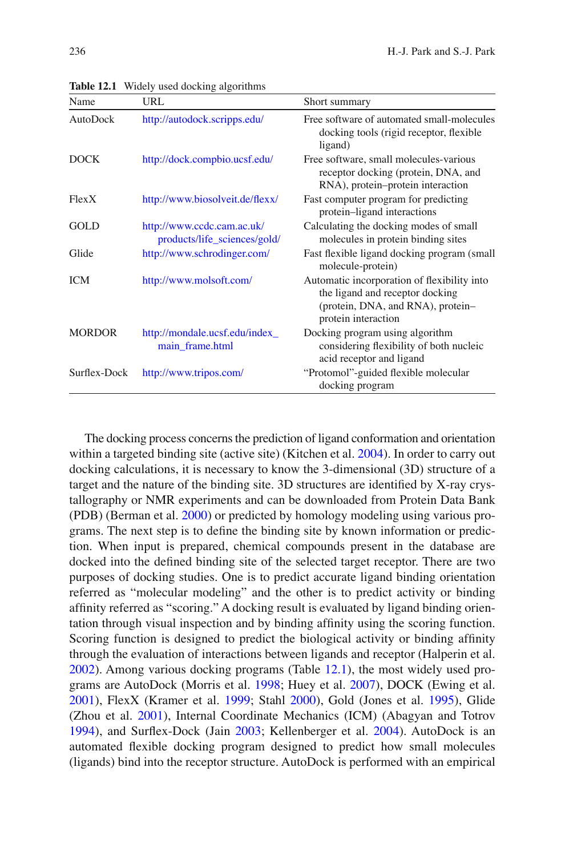| Name          | URL                                                        | Short summary                                                                                                                              |
|---------------|------------------------------------------------------------|--------------------------------------------------------------------------------------------------------------------------------------------|
| AutoDock      | http://autodock.scripps.edu/                               | Free software of automated small-molecules<br>docking tools (rigid receptor, flexible<br>ligand)                                           |
| <b>DOCK</b>   | http://dock.compbio.ucsf.edu/                              | Free software, small molecules-various<br>receptor docking (protein, DNA, and<br>RNA), protein–protein interaction                         |
| FlexX         | http://www.biosolveit.de/flexx/                            | Fast computer program for predicting<br>protein-ligand interactions                                                                        |
| <b>GOLD</b>   | http://www.ccdc.cam.ac.uk/<br>products/life_sciences/gold/ | Calculating the docking modes of small<br>molecules in protein binding sites                                                               |
| Glide         | http://www.schrodinger.com/                                | Fast flexible ligand docking program (small<br>molecule-protein)                                                                           |
| <b>ICM</b>    | http://www.molsoft.com/                                    | Automatic incorporation of flexibility into<br>the ligand and receptor docking<br>(protein, DNA, and RNA), protein-<br>protein interaction |
| <b>MORDOR</b> | http://mondale.ucsf.edu/index_<br>main_frame.html          | Docking program using algorithm<br>considering flexibility of both nucleic<br>acid receptor and ligand                                     |
| Surflex-Dock  | http://www.tripos.com/                                     | "Protomol"-guided flexible molecular<br>docking program                                                                                    |

<span id="page-1-0"></span> **Table 12.1** Widely used docking algorithms

 The docking process concerns the prediction of ligand conformation and orientation within a targeted binding site (active site) (Kitchen et al. [2004](#page-15-0)). In order to carry out docking calculations, it is necessary to know the 3-dimensional (3D) structure of a target and the nature of the binding site.  $3D$  structures are identified by X-ray crystallography or NMR experiments and can be downloaded from Protein Data Bank (PDB) (Berman et al. [2000](#page-13-0) ) or predicted by homology modeling using various programs. The next step is to define the binding site by known information or prediction. When input is prepared, chemical compounds present in the database are docked into the defined binding site of the selected target receptor. There are two purposes of docking studies. One is to predict accurate ligand binding orientation referred as "molecular modeling" and the other is to predict activity or binding affinity referred as "scoring." A docking result is evaluated by ligand binding orientation through visual inspection and by binding affinity using the scoring function. Scoring function is designed to predict the biological activity or binding affinity through the evaluation of interactions between ligands and receptor (Halperin et al.  $2002$ ). Among various docking programs (Table 12.1), the most widely used pro-grams are AutoDock (Morris et al. [1998](#page-16-0); Huey et al. [2007](#page-15-0)), DOCK (Ewing et al. 2001), FlexX (Kramer et al. 1999; Stahl 2000), Gold (Jones et al. 1995), Glide (Zhou et al. [2001](#page-17-0)), Internal Coordinate Mechanics (ICM) (Abagyan and Totrov 1994), and Surflex-Dock (Jain [2003](#page-15-0); Kellenberger et al. 2004). AutoDock is an automated flexible docking program designed to predict how small molecules (ligands) bind into the receptor structure. AutoDock is performed with an empirical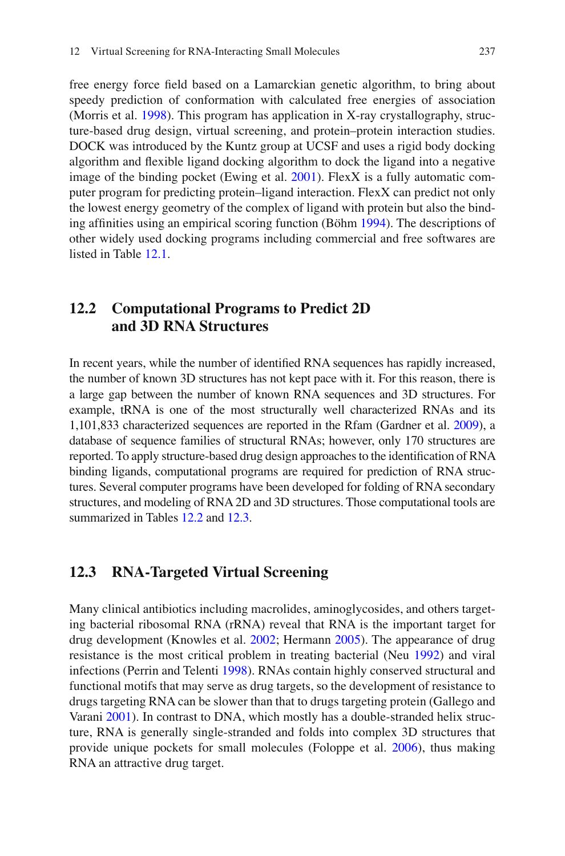free energy force field based on a Lamarckian genetic algorithm, to bring about speedy prediction of conformation with calculated free energies of association (Morris et al.  $1998$ ). This program has application in X-ray crystallography, structure-based drug design, virtual screening, and protein–protein interaction studies. DOCK was introduced by the Kuntz group at UCSF and uses a rigid body docking algorithm and flexible ligand docking algorithm to dock the ligand into a negative image of the binding pocket (Ewing et al.  $2001$ ). FlexX is a fully automatic computer program for predicting protein–ligand interaction. FlexX can predict not only the lowest energy geometry of the complex of ligand with protein but also the bind-ing affinities using an empirical scoring function (Böhm [1994](#page-14-0)). The descriptions of other widely used docking programs including commercial and free softwares are listed in Table [12.1](#page-1-0) .

## **12.2 Computational Programs to Predict 2D and 3D RNA Structures**

In recent years, while the number of identified RNA sequences has rapidly increased, the number of known 3D structures has not kept pace with it. For this reason, there is a large gap between the number of known RNA sequences and 3D structures. For example, tRNA is one of the most structurally well characterized RNAs and its 1,101,833 characterized sequences are reported in the Rfam (Gardner et al. 2009), a database of sequence families of structural RNAs; however, only 170 structures are reported. To apply structure-based drug design approaches to the identification of RNA binding ligands, computational programs are required for prediction of RNA structures. Several computer programs have been developed for folding of RNA secondary structures, and modeling of RNA 2D and 3D structures. Those computational tools are summarized in Tables [12.2](#page-3-0) and 12.3.

## **12.3 RNA-Targeted Virtual Screening**

 Many clinical antibiotics including macrolides, aminoglycosides, and others targeting bacterial ribosomal RNA (rRNA) reveal that RNA is the important target for drug development (Knowles et al. 2002; Hermann 2005). The appearance of drug resistance is the most critical problem in treating bacterial (Neu [1992](#page-16-0)) and viral infections (Perrin and Telenti 1998). RNAs contain highly conserved structural and functional motifs that may serve as drug targets, so the development of resistance to drugs targeting RNA can be slower than that to drugs targeting protein (Gallego and Varani 2001). In contrast to DNA, which mostly has a double-stranded helix structure, RNA is generally single-stranded and folds into complex 3D structures that provide unique pockets for small molecules (Foloppe et al. [2006](#page-14-0)), thus making RNA an attractive drug target.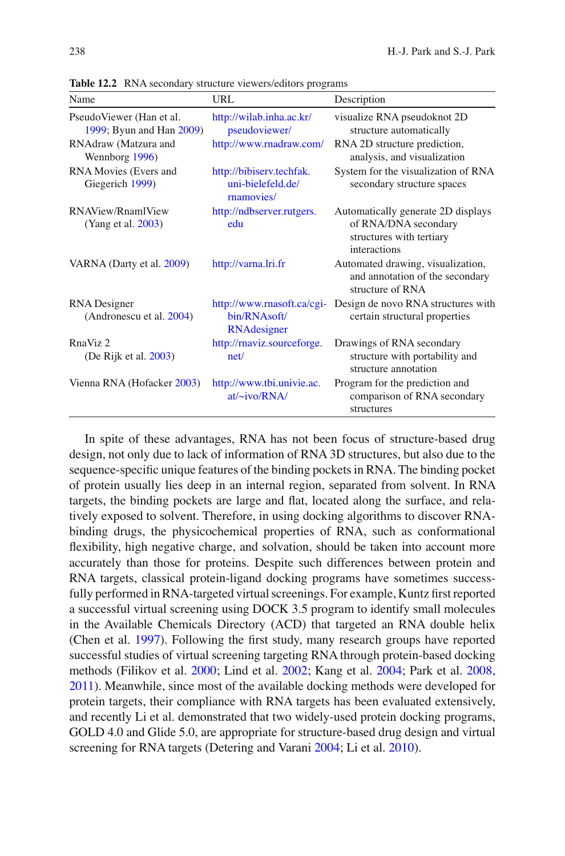| Name                                                  | URL                                                         | Description                                                                                            |
|-------------------------------------------------------|-------------------------------------------------------------|--------------------------------------------------------------------------------------------------------|
| Pseudo Viewer (Han et al.<br>1999; Byun and Han 2009) | http://wilab.inha.ac.kr/<br>pseudoviewer/                   | visualize RNA pseudoknot 2D<br>structure automatically                                                 |
| RNAdraw (Matzura and<br>Wennborg 1996)                | http://www.rnadraw.com/                                     | RNA 2D structure prediction,<br>analysis, and visualization                                            |
| RNA Movies (Evers and<br>Giegerich 1999)              | http://bibiserv.techfak.<br>uni-bielefeld.de/<br>rnamovies/ | System for the visualization of RNA<br>secondary structure spaces                                      |
| RNAView/RnamlView<br>(Yang et al. 2003)               | http://ndbserver.rutgers.<br>edu                            | Automatically generate 2D displays<br>of RNA/DNA secondary<br>structures with tertiary<br>interactions |
| VARNA (Darty et al. 2009)                             | http://varna.lri.fr                                         | Automated drawing, visualization,<br>and annotation of the secondary<br>structure of RNA               |
| RNA Designer<br>(Andronescu et al. 2004)              | http://www.rnasoft.ca/cgi-<br>bin/RNAsoft/<br>RNAdesigner   | Design de novo RNA structures with<br>certain structural properties                                    |
| RnaViz 2<br>(De Rijk et al. 2003)                     | http://rnaviz.sourceforge.<br>net/                          | Drawings of RNA secondary<br>structure with portability and<br>structure annotation                    |
| Vienna RNA (Hofacker 2003)                            | http://www.tbi.univie.ac.<br>$at/\sim ivo/RNA/$             | Program for the prediction and<br>comparison of RNA secondary<br>structures                            |

<span id="page-3-0"></span> **Table 12.2** RNA secondary structure viewers/editors programs

 In spite of these advantages, RNA has not been focus of structure-based drug design, not only due to lack of information of RNA 3D structures, but also due to the sequence-specific unique features of the binding pockets in RNA. The binding pocket of protein usually lies deep in an internal region, separated from solvent. In RNA targets, the binding pockets are large and flat, located along the surface, and relatively exposed to solvent. Therefore, in using docking algorithms to discover RNAbinding drugs, the physicochemical properties of RNA, such as conformational flexibility, high negative charge, and solvation, should be taken into account more accurately than those for proteins. Despite such differences between protein and RNA targets, classical protein-ligand docking programs have sometimes successfully performed in RNA-targeted virtual screenings. For example, Kuntz first reported a successful virtual screening using DOCK 3.5 program to identify small molecules in the Available Chemicals Directory (ACD) that targeted an RNA double helix (Chen et al. 1997). Following the first study, many research groups have reported successful studies of virtual screening targeting RNA through protein-based docking methods (Filikov et al. 2000; Lind et al. [2002](#page-16-0); Kang et al. 2004; Park et al. 2008, [2011](#page-16-0) ) . Meanwhile, since most of the available docking methods were developed for protein targets, their compliance with RNA targets has been evaluated extensively, and recently Li et al. demonstrated that two widely-used protein docking programs, GOLD 4.0 and Glide 5.0, are appropriate for structure-based drug design and virtual screening for RNA targets (Detering and Varani 2004; Li et al. [2010](#page-16-0)).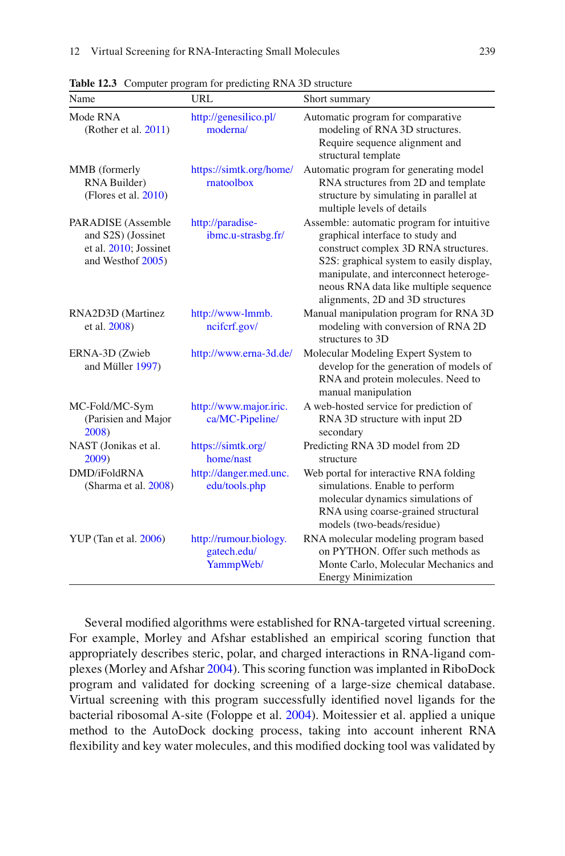| Name                                                                                          | <b>URL</b>                                         | Short summary                                                                                                                                                                                                                                                                            |
|-----------------------------------------------------------------------------------------------|----------------------------------------------------|------------------------------------------------------------------------------------------------------------------------------------------------------------------------------------------------------------------------------------------------------------------------------------------|
| Mode RNA<br>(Rother et al. 2011)                                                              | http://genesilico.pl/<br>moderna/                  | Automatic program for comparative<br>modeling of RNA 3D structures.<br>Require sequence alignment and<br>structural template                                                                                                                                                             |
| MMB (formerly<br>RNA Builder)<br>(Flores et al. 2010)                                         | https://simtk.org/home/<br>rnatoolbox              | Automatic program for generating model<br>RNA structures from 2D and template<br>structure by simulating in parallel at<br>multiple levels of details                                                                                                                                    |
| <b>PARADISE</b> (Assemble<br>and S2S) (Jossinet<br>et al. 2010; Jossinet<br>and Westhof 2005) | http://paradise-<br>ibmc.u-strasbg.fr/             | Assemble: automatic program for intuitive<br>graphical interface to study and<br>construct complex 3D RNA structures.<br>S2S: graphical system to easily display,<br>manipulate, and interconnect heteroge-<br>neous RNA data like multiple sequence<br>alignments, 2D and 3D structures |
| RNA2D3D (Martinez<br>et al. 2008)                                                             | http://www-lmmb.<br>nciferf.gov/                   | Manual manipulation program for RNA 3D<br>modeling with conversion of RNA 2D<br>structures to 3D                                                                                                                                                                                         |
| ERNA-3D (Zwieb<br>and Müller 1997)                                                            | http://www.erna-3d.de/                             | Molecular Modeling Expert System to<br>develop for the generation of models of<br>RNA and protein molecules. Need to<br>manual manipulation                                                                                                                                              |
| MC-Fold/MC-Sym<br>(Parisien and Major<br>2008)                                                | http://www.major.iric.<br>ca/MC-Pipeline/          | A web-hosted service for prediction of<br>RNA 3D structure with input 2D<br>secondary                                                                                                                                                                                                    |
| NAST (Jonikas et al.<br>2009)                                                                 | https://simtk.org/<br>home/nast                    | Predicting RNA 3D model from 2D<br>structure                                                                                                                                                                                                                                             |
| DMD/iFoldRNA<br>(Sharma et al. 2008)                                                          | http://danger.med.unc.<br>edu/tools.php            | Web portal for interactive RNA folding<br>simulations. Enable to perform<br>molecular dynamics simulations of<br>RNA using coarse-grained structural<br>models (two-beads/residue)                                                                                                       |
| $YUP$ (Tan et al. $2006$ )                                                                    | http://rumour.biology.<br>gatech.edu/<br>YammpWeb/ | RNA molecular modeling program based<br>on PYTHON. Offer such methods as<br>Monte Carlo, Molecular Mechanics and<br><b>Energy Minimization</b>                                                                                                                                           |

<span id="page-4-0"></span> **Table 12.3** Computer program for predicting RNA 3D structure

Several modified algorithms were established for RNA-targeted virtual screening. For example, Morley and Afshar established an empirical scoring function that appropriately describes steric, polar, and charged interactions in RNA-ligand com-plexes (Morley and Afshar [2004](#page-16-0)). This scoring function was implanted in RiboDock program and validated for docking screening of a large-size chemical database. Virtual screening with this program successfully identified novel ligands for the bacterial ribosomal A-site (Foloppe et al. [2004](#page-14-0) ) . Moitessier et al. applied a unique method to the AutoDock docking process, taking into account inherent RNA flexibility and key water molecules, and this modified docking tool was validated by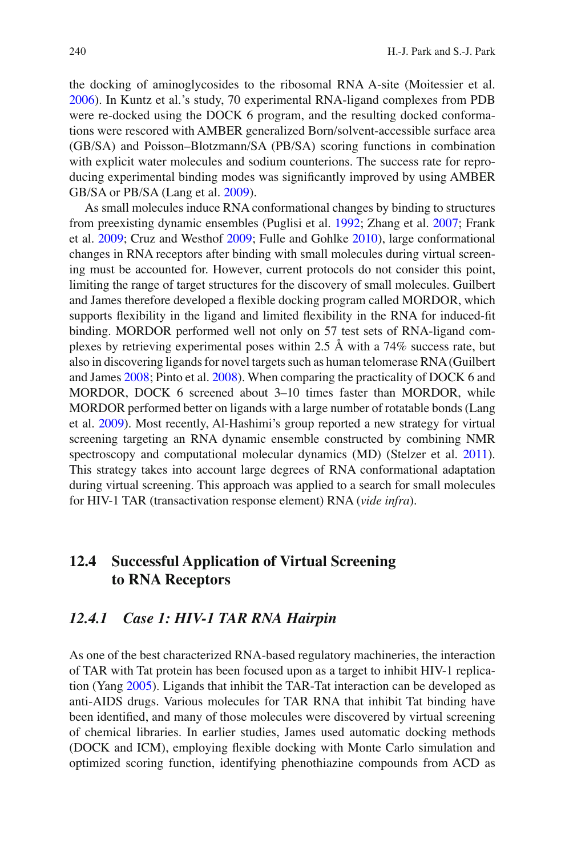the docking of aminoglycosides to the ribosomal RNA A-site (Moitessier et al. 2006). In Kuntz et al.'s study, 70 experimental RNA-ligand complexes from PDB were re-docked using the DOCK 6 program, and the resulting docked conformations were rescored with AMBER generalized Born/solvent-accessible surface area (GB/SA) and Poisson–Blotzmann/SA (PB/SA) scoring functions in combination with explicit water molecules and sodium counterions. The success rate for reproducing experimental binding modes was significantly improved by using AMBER GB/SA or PB/SA (Lang et al. [2009](#page-15-0)).

 As small molecules induce RNA conformational changes by binding to structures from preexisting dynamic ensembles (Puglisi et al. [1992](#page-17-0) ; Zhang et al. [2007 ;](#page-17-0) Frank et al. [2009](#page-14-0); Cruz and Westhof [2009](#page-14-0); Fulle and Gohlke [2010](#page-14-0)), large conformational changes in RNA receptors after binding with small molecules during virtual screening must be accounted for. However, current protocols do not consider this point, limiting the range of target structures for the discovery of small molecules. Guilbert and James therefore developed a flexible docking program called MORDOR, which supports flexibility in the ligand and limited flexibility in the RNA for induced-fit binding. MORDOR performed well not only on 57 test sets of RNA-ligand complexes by retrieving experimental poses within 2.5 Å with a 74% success rate, but also in discovering ligands for novel targets such as human telomerase RNA (Guilbert and James [2008](#page-15-0) ; Pinto et al. [2008 \)](#page-16-0) . When comparing the practicality of DOCK 6 and MORDOR, DOCK 6 screened about 3–10 times faster than MORDOR, while MORDOR performed better on ligands with a large number of rotatable bonds (Lang et al. [2009 \)](#page-15-0) . Most recently, Al-Hashimi's group reported a new strategy for virtual screening targeting an RNA dynamic ensemble constructed by combining NMR spectroscopy and computational molecular dynamics (MD) (Stelzer et al. 2011). This strategy takes into account large degrees of RNA conformational adaptation during virtual screening. This approach was applied to a search for small molecules for HIV-1 TAR (transactivation response element) RNA ( *vide infra* ).

# **12.4 Successful Application of Virtual Screening to RNA Receptors**

## *12.4.1 Case 1: HIV-1 TAR RNA Hairpin*

 As one of the best characterized RNA-based regulatory machineries, the interaction of TAR with Tat protein has been focused upon as a target to inhibit HIV-1 replica-tion (Yang [2005](#page-17-0)). Ligands that inhibit the TAR-Tat interaction can be developed as anti-AIDS drugs. Various molecules for TAR RNA that inhibit Tat binding have been identified, and many of those molecules were discovered by virtual screening of chemical libraries. In earlier studies, James used automatic docking methods (DOCK and ICM), employing flexible docking with Monte Carlo simulation and optimized scoring function, identifying phenothiazine compounds from ACD as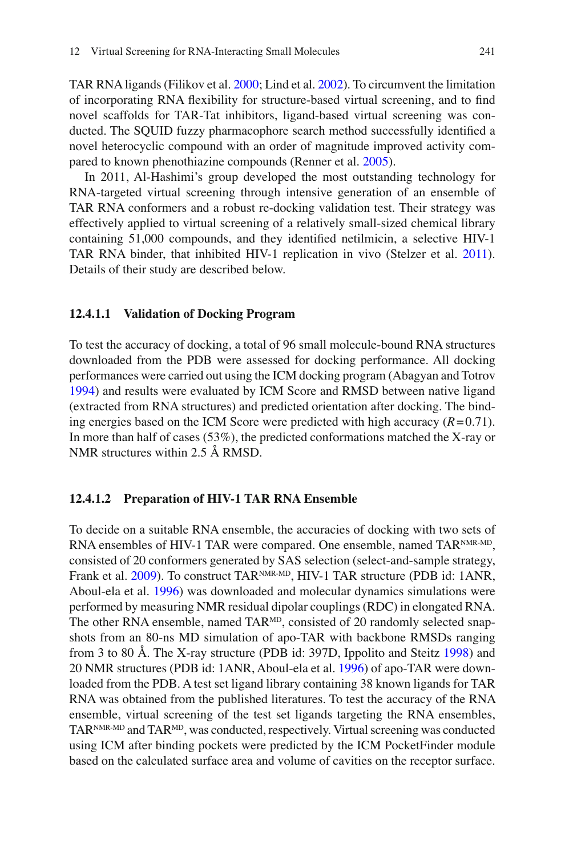TAR RNA ligands (Filikov et al. [2000](#page-14-0); Lind et al. [2002](#page-16-0)). To circumvent the limitation of incorporating RNA flexibility for structure-based virtual screening, and to find novel scaffolds for TAR-Tat inhibitors, ligand-based virtual screening was conducted. The SOUID fuzzy pharmacophore search method successfully identified a novel heterocyclic compound with an order of magnitude improved activity com-pared to known phenothiazine compounds (Renner et al. [2005](#page-17-0)).

 In 2011, Al-Hashimi's group developed the most outstanding technology for RNA-targeted virtual screening through intensive generation of an ensemble of TAR RNA conformers and a robust re-docking validation test. Their strategy was effectively applied to virtual screening of a relatively small-sized chemical library containing 51,000 compounds, and they identified netilmicin, a selective HIV-1 TAR RNA binder, that inhibited HIV-1 replication in vivo (Stelzer et al. 2011). Details of their study are described below.

#### **12.4.1.1 Validation of Docking Program**

 To test the accuracy of docking, a total of 96 small molecule-bound RNA structures downloaded from the PDB were assessed for docking performance. All docking performances were carried out using the ICM docking program (Abagyan and Totrov 1994) and results were evaluated by ICM Score and RMSD between native ligand (extracted from RNA structures) and predicted orientation after docking. The binding energies based on the ICM Score were predicted with high accuracy  $(R=0.71)$ . In more than half of cases (53%), the predicted conformations matched the X-ray or NMR structures within 2.5 Å RMSD.

#### **12.4.1.2 Preparation of HIV-1 TAR RNA Ensemble**

 To decide on a suitable RNA ensemble, the accuracies of docking with two sets of RNA ensembles of HIV-1 TAR were compared. One ensemble, named TAR<sup>NMR-MD</sup>, consisted of 20 conformers generated by SAS selection (select-and-sample strategy, Frank et al. 2009). To construct TAR<sup>NMR-MD</sup>, HIV-1 TAR structure (PDB id: 1ANR, Aboul-ela et al. [1996](#page-13-0)) was downloaded and molecular dynamics simulations were performed by measuring NMR residual dipolar couplings (RDC) in elongated RNA. The other RNA ensemble, named TAR<sup>MD</sup>, consisted of 20 randomly selected snapshots from an 80-ns MD simulation of apo-TAR with backbone RMSDs ranging from 3 to 80 Å. The X-ray structure (PDB id: 397D, Ippolito and Steitz [1998 \)](#page-15-0) and 20 NMR structures (PDB id: 1ANR, Aboul-ela et al. [1996](#page-13-0) ) of apo-TAR were downloaded from the PDB. A test set ligand library containing 38 known ligands for TAR RNA was obtained from the published literatures. To test the accuracy of the RNA ensemble, virtual screening of the test set ligands targeting the RNA ensembles, TARNMR-MD and TARMD, was conducted, respectively. Virtual screening was conducted using ICM after binding pockets were predicted by the ICM PocketFinder module based on the calculated surface area and volume of cavities on the receptor surface.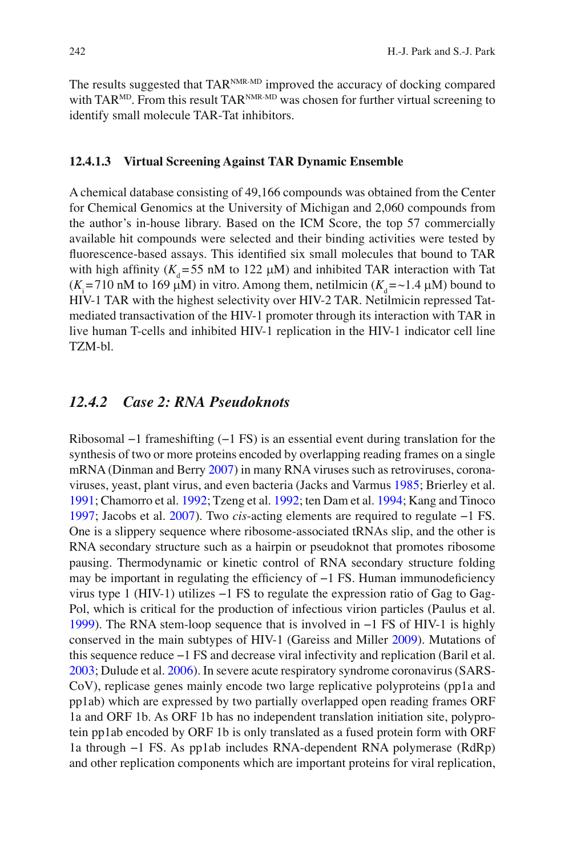The results suggested that TAR<sup>NMR-MD</sup> improved the accuracy of docking compared with TAR<sup>MD</sup>. From this result TAR<sup>NMR-MD</sup> was chosen for further virtual screening to identify small molecule TAR-Tat inhibitors.

#### **12.4.1.3 Virtual Screening Against TAR Dynamic Ensemble**

 A chemical database consisting of 49,166 compounds was obtained from the Center for Chemical Genomics at the University of Michigan and 2,060 compounds from the author's in-house library. Based on the ICM Score, the top 57 commercially available hit compounds were selected and their binding activities were tested by fluorescence-based assays. This identified six small molecules that bound to TAR with high affinity  $(K_d = 55 \text{ nM}$  to 122  $\mu$ M) and inhibited TAR interaction with Tat  $(K_i=710 \text{ nM to } 169 \text{ µM})$  in vitro. Among them, netilmicin  $(K_d = 1.4 \text{ µM})$  bound to HIV-1 TAR with the highest selectivity over HIV-2 TAR. Netilmicin repressed Tatmediated transactivation of the HIV-1 promoter through its interaction with TAR in live human T-cells and inhibited HIV-1 replication in the HIV-1 indicator cell line TZM-bl.

## *12.4.2 Case 2: RNA Pseudoknots*

Ribosomal  $-1$  frameshifting  $(-1 \text{ FS})$  is an essential event during translation for the synthesis of two or more proteins encoded by overlapping reading frames on a single mRNA (Dinman and Berry 2007) in many RNA viruses such as retroviruses, corona-viruses, yeast, plant virus, and even bacteria (Jacks and Varmus [1985](#page-15-0); Brierley et al. [1991 ;](#page-14-0) Chamorro et al. [1992](#page-14-0) ; Tzeng et al. [1992 ;](#page-17-0) ten Dam et al. [1994](#page-17-0) ; Kang and Tinoco [1997 ;](#page-15-0) Jacobs et al. [2007 \)](#page-15-0) . Two *cis* -acting elements are required to regulate −1 FS. One is a slippery sequence where ribosome-associated tRNAs slip, and the other is RNA secondary structure such as a hairpin or pseudoknot that promotes ribosome pausing. Thermodynamic or kinetic control of RNA secondary structure folding may be important in regulating the efficiency of −1 FS. Human immunodeficiency virus type 1 (HIV-1) utilizes −1 FS to regulate the expression ratio of Gag to Gag-Pol, which is critical for the production of infectious virion particles (Paulus et al. 1999). The RNA stem-loop sequence that is involved in −1 FS of HIV-1 is highly conserved in the main subtypes of HIV-1 (Gareiss and Miller 2009). Mutations of this sequence reduce −1 FS and decrease viral infectivity and replication (Baril et al. 2003; Dulude et al. [2006](#page-14-0)). In severe acute respiratory syndrome coronavirus (SARS-CoV), replicase genes mainly encode two large replicative polyproteins (pp1a and pp1ab) which are expressed by two partially overlapped open reading frames ORF 1a and ORF 1b. As ORF 1b has no independent translation initiation site, polyprotein pp1ab encoded by ORF 1b is only translated as a fused protein form with ORF 1a through −1 FS. As pp1ab includes RNA-dependent RNA polymerase (RdRp) and other replication components which are important proteins for viral replication,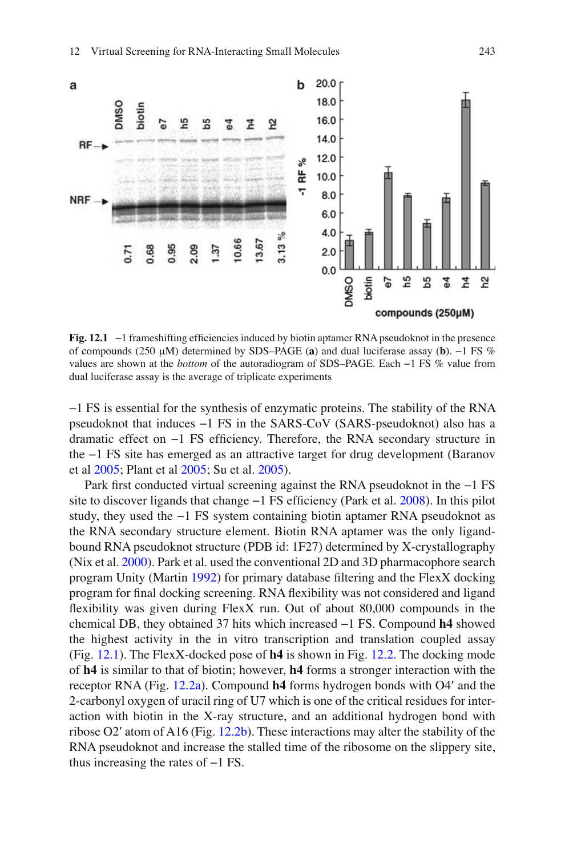

**Fig. 12.1** −1 frameshifting efficiencies induced by biotin aptamer RNA pseudoknot in the presence of compounds (250 µM) determined by SDS–PAGE (a) and dual luciferase assay (b). −1 FS % values are shown at the *bottom* of the autoradiogram of SDS–PAGE. Each −1 FS % value from dual luciferase assay is the average of triplicate experiments

−1 FS is essential for the synthesis of enzymatic proteins. The stability of the RNA pseudoknot that induces −1 FS in the SARS-CoV (SARS-pseudoknot) also has a dramatic effect on −1 FS efficiency. Therefore, the RNA secondary structure in the −1 FS site has emerged as an attractive target for drug development (Baranov et al [2005](#page-13-0); Plant et al 2005; Su et al. 2005).

Park first conducted virtual screening against the RNA pseudoknot in the −1 FS site to discover ligands that change  $-1$  FS efficiency (Park et al. [2008](#page-16-0)). In this pilot study, they used the −1 FS system containing biotin aptamer RNA pseudoknot as the RNA secondary structure element. Biotin RNA aptamer was the only ligandbound RNA pseudoknot structure (PDB id: 1F27) determined by X-crystallography (Nix et al. 2000). Park et al. used the conventional 2D and 3D pharmacophore search program Unity (Martin 1992) for primary database filtering and the FlexX docking program for final docking screening. RNA flexibility was not considered and ligand flexibility was given during  $FlexX$  run. Out of about 80,000 compounds in the chemical DB, they obtained 37 hits which increased −1 FS. Compound **h4** showed the highest activity in the in vitro transcription and translation coupled assay (Fig. 12.1 ). The FlexX-docked pose of **h4** is shown in Fig. [12.2](#page-9-0) . The docking mode of **h4** is similar to that of biotin; however, **h4** forms a stronger interaction with the receptor RNA (Fig. [12.2a](#page-9-0)). Compound **h4** forms hydrogen bonds with O4' and the 2-carbonyl oxygen of uracil ring of U7 which is one of the critical residues for interaction with biotin in the X-ray structure, and an additional hydrogen bond with ribose O2' atom of A16 (Fig.  $12.2b$ ). These interactions may alter the stability of the RNA pseudoknot and increase the stalled time of the ribosome on the slippery site, thus increasing the rates of −1 FS.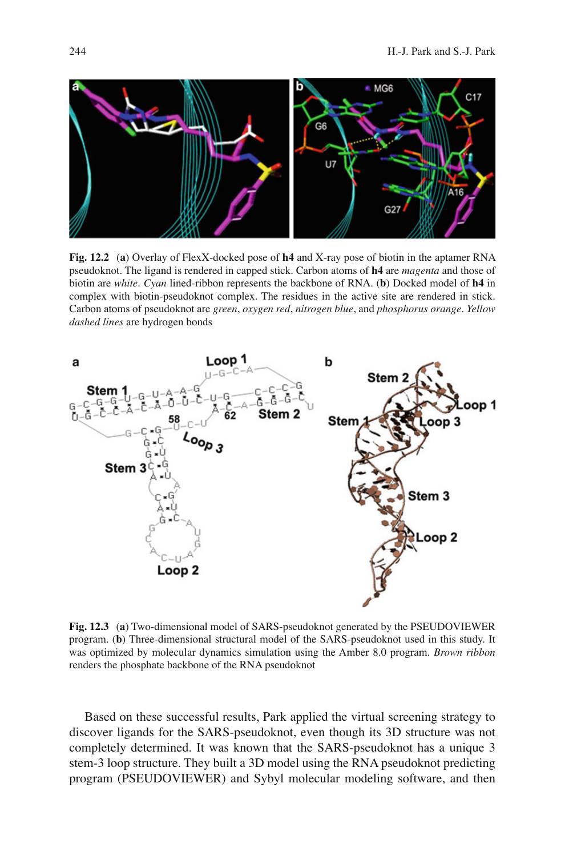<span id="page-9-0"></span>

 **Fig. 12.2** ( **a** ) Overlay of FlexX-docked pose of **h4** and X-ray pose of biotin in the aptamer RNA pseudoknot. The ligand is rendered in capped stick. Carbon atoms of **h4** are *magenta* and those of biotin are *white* . *Cyan* lined-ribbon represents the backbone of RNA. ( **b** ) Docked model of **h4** in complex with biotin-pseudoknot complex. The residues in the active site are rendered in stick. Carbon atoms of pseudoknot are *green* , *oxygen red* , *nitrogen blue* , and *phosphorus orange* . *Yellow dashed lines* are hydrogen bonds



 **Fig. 12.3** ( **a** ) Two-dimensional model of SARS-pseudoknot generated by the PSEUDOVIEWER program. ( **b** ) Three-dimensional structural model of the SARS-pseudoknot used in this study. It was optimized by molecular dynamics simulation using the Amber 8.0 program. *Brown ribbon* renders the phosphate backbone of the RNA pseudoknot

 Based on these successful results, Park applied the virtual screening strategy to discover ligands for the SARS-pseudoknot, even though its 3D structure was not completely determined. It was known that the SARS-pseudoknot has a unique 3 stem-3 loop structure. They built a 3D model using the RNA pseudoknot predicting program (PSEUDOVIEWER) and Sybyl molecular modeling software, and then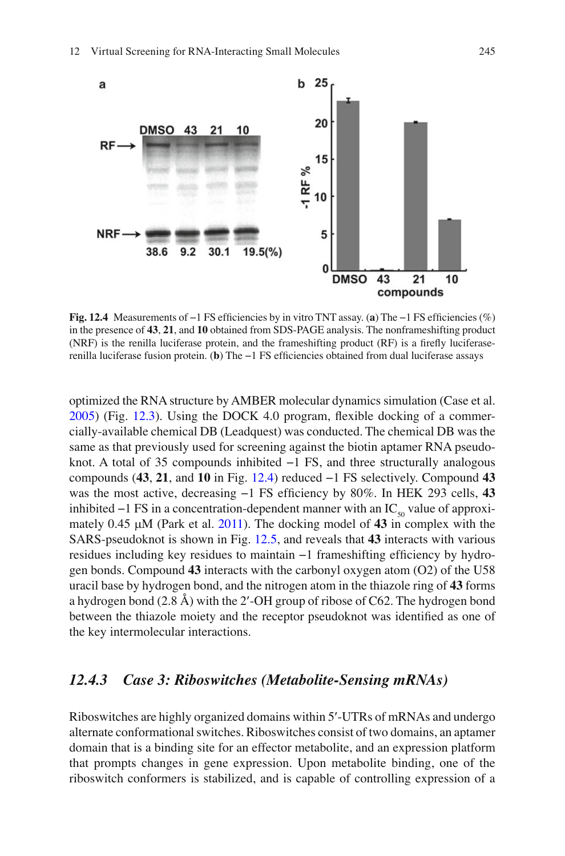

**Fig. 12.4** Measurements of −1 FS efficiencies by in vitro TNT assay. (a) The −1 FS efficiencies (%) in the presence of **43**, **21**, and **10** obtained from SDS-PAGE analysis. The nonframeshifting product (NRF) is the renilla luciferase protein, and the frameshifting product  $(RF)$  is a firefly luciferaserenilla luciferase fusion protein. (**b**) The −1 FS efficiencies obtained from dual luciferase assays

optimized the RNA structure by AMBER molecular dynamics simulation (Case et al.  $2005$ ) (Fig. 12.3). Using the DOCK 4.0 program, flexible docking of a commercially-available chemical DB (Leadquest) was conducted. The chemical DB was the same as that previously used for screening against the biotin aptamer RNA pseudoknot. A total of 35 compounds inhibited −1 FS, and three structurally analogous compounds ( **43** , **21** , and **10** in Fig. 12.4 ) reduced −1 FS selectively. Compound **43** was the most active, decreasing −1 FS efficiency by 80%. In HEK 293 cells, 43 inhibited −1 FS in a concentration-dependent manner with an  $IC_{\leq 0}$  value of approximately  $0.45 \mu M$  (Park et al. [2011](#page-16-0)). The docking model of 43 in complex with the SARS-pseudoknot is shown in Fig. [12.5 ,](#page-11-0) and reveals that **43** interacts with various residues including key residues to maintain −1 frameshifting efficiency by hydrogen bonds. Compound  $43$  interacts with the carbonyl oxygen atom  $(O<sub>2</sub>)$  of the U58 uracil base by hydrogen bond, and the nitrogen atom in the thiazole ring of **43** forms a hydrogen bond  $(2.8 \text{ Å})$  with the 2'-OH group of ribose of C62. The hydrogen bond between the thiazole moiety and the receptor pseudoknot was identified as one of the key intermolecular interactions.

## *12.4.3 Case 3: Riboswitches (Metabolite-Sensing mRNAs)*

Riboswitches are highly organized domains within 5'-UTRs of mRNAs and undergo alternate conformational switches. Riboswitches consist of two domains, an aptamer domain that is a binding site for an effector metabolite, and an expression platform that prompts changes in gene expression. Upon metabolite binding, one of the riboswitch conformers is stabilized, and is capable of controlling expression of a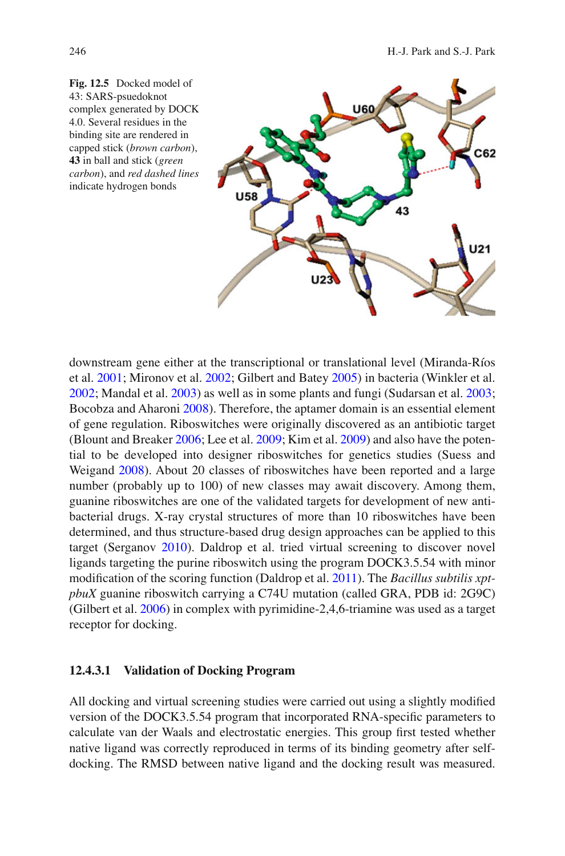<span id="page-11-0"></span>

downstream gene either at the transcriptional or translational level (Miranda-Ríos et al. 2001; Mironov et al. 2002; Gilbert and Batey [2005](#page-15-0)) in bacteria (Winkler et al. [2002 ;](#page-17-0) Mandal et al. [2003](#page-16-0) ) as well as in some plants and fungi (Sudarsan et al. [2003 ;](#page-17-0) Bocobza and Aharoni 2008). Therefore, the aptamer domain is an essential element of gene regulation. Riboswitches were originally discovered as an antibiotic target (Blount and Breaker 2006; Lee et al. [2009](#page-16-0); Kim et al. 2009) and also have the potential to be developed into designer riboswitches for genetics studies (Suess and Weigand [2008](#page-17-0)). About 20 classes of riboswitches have been reported and a large number (probably up to 100) of new classes may await discovery. Among them, guanine riboswitches are one of the validated targets for development of new antibacterial drugs. X-ray crystal structures of more than 10 riboswitches have been determined, and thus structure-based drug design approaches can be applied to this target (Serganov 2010). Daldrop et al. tried virtual screening to discover novel ligands targeting the purine riboswitch using the program DOCK3.5.54 with minor modification of the scoring function (Daldrop et al. [2011](#page-14-0)). The *Bacillus subtilis xptpbuX* guanine riboswitch carrying a C74U mutation (called GRA, PDB id: 2G9C) (Gilbert et al. [2006](#page-15-0) ) in complex with pyrimidine-2,4,6-triamine was used as a target receptor for docking.

#### **12.4.3.1 Validation of Docking Program**

All docking and virtual screening studies were carried out using a slightly modified version of the DOCK3.5.54 program that incorporated RNA-specific parameters to calculate van der Waals and electrostatic energies. This group first tested whether native ligand was correctly reproduced in terms of its binding geometry after selfdocking. The RMSD between native ligand and the docking result was measured.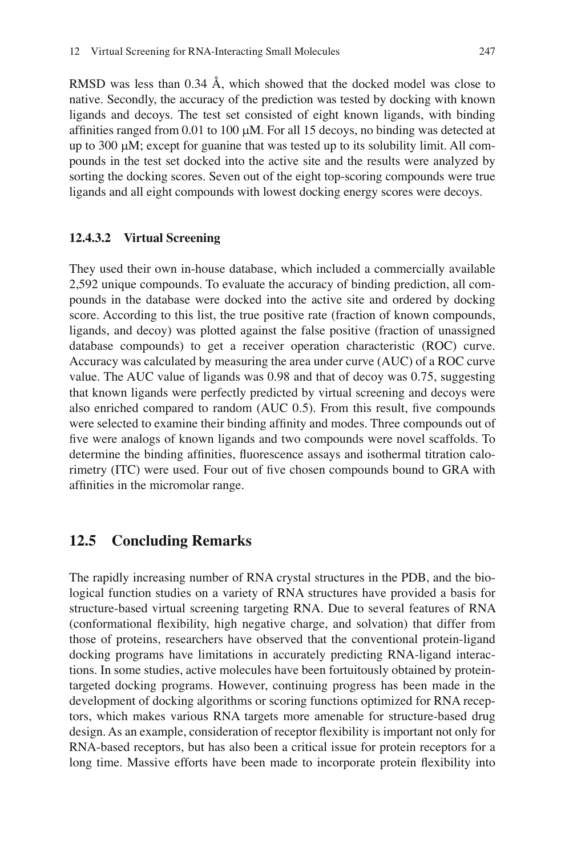RMSD was less than 0.34 Å, which showed that the docked model was close to native. Secondly, the accuracy of the prediction was tested by docking with known ligands and decoys. The test set consisted of eight known ligands, with binding affinities ranged from 0.01 to 100  $\mu$ M. For all 15 decoys, no binding was detected at up to 300  $\mu$ M; except for guanine that was tested up to its solubility limit. All compounds in the test set docked into the active site and the results were analyzed by sorting the docking scores. Seven out of the eight top-scoring compounds were true ligands and all eight compounds with lowest docking energy scores were decoys.

#### **12.4.3.2 Virtual Screening**

 They used their own in-house database, which included a commercially available 2,592 unique compounds. To evaluate the accuracy of binding prediction, all compounds in the database were docked into the active site and ordered by docking score. According to this list, the true positive rate (fraction of known compounds, ligands, and decoy) was plotted against the false positive (fraction of unassigned database compounds) to get a receiver operation characteristic (ROC) curve. Accuracy was calculated by measuring the area under curve (AUC) of a ROC curve value. The AUC value of ligands was 0.98 and that of decoy was 0.75, suggesting that known ligands were perfectly predicted by virtual screening and decoys were also enriched compared to random (AUC  $0.5$ ). From this result, five compounds were selected to examine their binding affinity and modes. Three compounds out of five were analogs of known ligands and two compounds were novel scaffolds. To determine the binding affinities, fluorescence assays and isothermal titration calorimetry (ITC) were used. Four out of five chosen compounds bound to GRA with affinities in the micromolar range.

## **12.5 Concluding Remarks**

 The rapidly increasing number of RNA crystal structures in the PDB, and the biological function studies on a variety of RNA structures have provided a basis for structure-based virtual screening targeting RNA. Due to several features of RNA (conformational flexibility, high negative charge, and solvation) that differ from those of proteins, researchers have observed that the conventional protein-ligand docking programs have limitations in accurately predicting RNA-ligand interactions. In some studies, active molecules have been fortuitously obtained by proteintargeted docking programs. However, continuing progress has been made in the development of docking algorithms or scoring functions optimized for RNA receptors, which makes various RNA targets more amenable for structure-based drug design. As an example, consideration of receptor flexibility is important not only for RNA-based receptors, but has also been a critical issue for protein receptors for a long time. Massive efforts have been made to incorporate protein flexibility into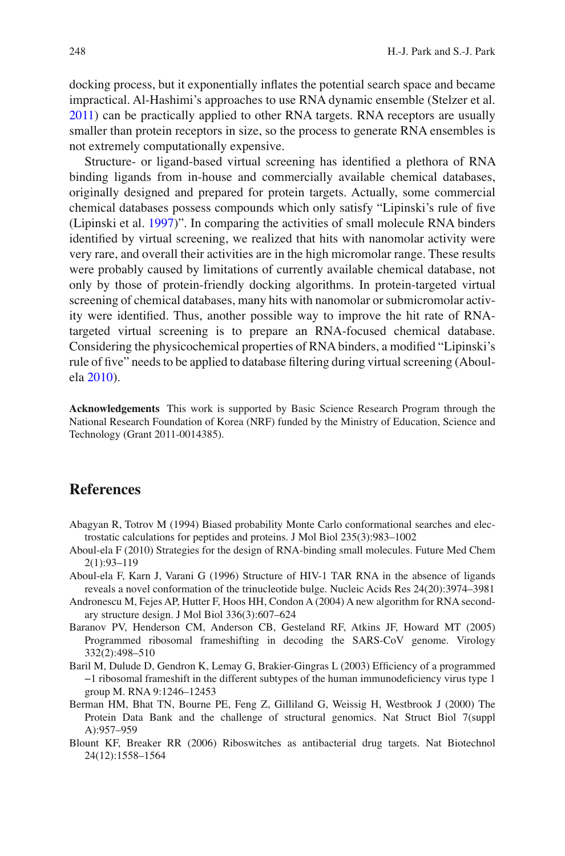<span id="page-13-0"></span>docking process, but it exponentially inflates the potential search space and became impractical. Al-Hashimi's approaches to use RNA dynamic ensemble (Stelzer et al. [2011](#page-17-0)) can be practically applied to other RNA targets. RNA receptors are usually smaller than protein receptors in size, so the process to generate RNA ensembles is not extremely computationally expensive.

Structure- or ligand-based virtual screening has identified a plethora of RNA binding ligands from in-house and commercially available chemical databases, originally designed and prepared for protein targets. Actually, some commercial chemical databases possess compounds which only satisfy "Lipinski's rule of five (Lipinski et al. [1997](#page-16-0))". In comparing the activities of small molecule RNA binders identified by virtual screening, we realized that hits with nanomolar activity were very rare, and overall their activities are in the high micromolar range. These results were probably caused by limitations of currently available chemical database, not only by those of protein-friendly docking algorithms. In protein-targeted virtual screening of chemical databases, many hits with nanomolar or submicromolar activity were identified. Thus, another possible way to improve the hit rate of RNAtargeted virtual screening is to prepare an RNA-focused chemical database. Considering the physicochemical properties of RNA binders, a modified "Lipinski's" rule of five" needs to be applied to database filtering during virtual screening (Aboulela 2010).

 **Acknowledgements** This work is supported by Basic Science Research Program through the National Research Foundation of Korea (NRF) funded by the Ministry of Education, Science and Technology (Grant 2011-0014385).

## **References**

- Abagyan R, Totrov M (1994) Biased probability Monte Carlo conformational searches and electrostatic calculations for peptides and proteins. J Mol Biol 235(3):983–1002
- Aboul-ela F (2010) Strategies for the design of RNA-binding small molecules. Future Med Chem 2(1):93–119
- Aboul-ela F, Karn J, Varani G (1996) Structure of HIV-1 TAR RNA in the absence of ligands reveals a novel conformation of the trinucleotide bulge. Nucleic Acids Res 24(20):3974–3981
- Andronescu M, Fejes AP, Hutter F, Hoos HH, Condon A (2004) A new algorithm for RNA secondary structure design. J Mol Biol 336(3):607–624
- Baranov PV, Henderson CM, Anderson CB, Gesteland RF, Atkins JF, Howard MT (2005) Programmed ribosomal frameshifting in decoding the SARS-CoV genome. Virology 332(2):498–510
- Baril M, Dulude D, Gendron K, Lemay G, Brakier-Gingras L (2003) Efficiency of a programmed −1 ribosomal frameshift in the different subtypes of the human immunodeficiency virus type 1 group M. RNA 9:1246–12453
- Berman HM, Bhat TN, Bourne PE, Feng Z, Gilliland G, Weissig H, Westbrook J (2000) The Protein Data Bank and the challenge of structural genomics. Nat Struct Biol 7(suppl A):957–959
- Blount KF, Breaker RR (2006) Riboswitches as antibacterial drug targets. Nat Biotechnol 24(12):1558–1564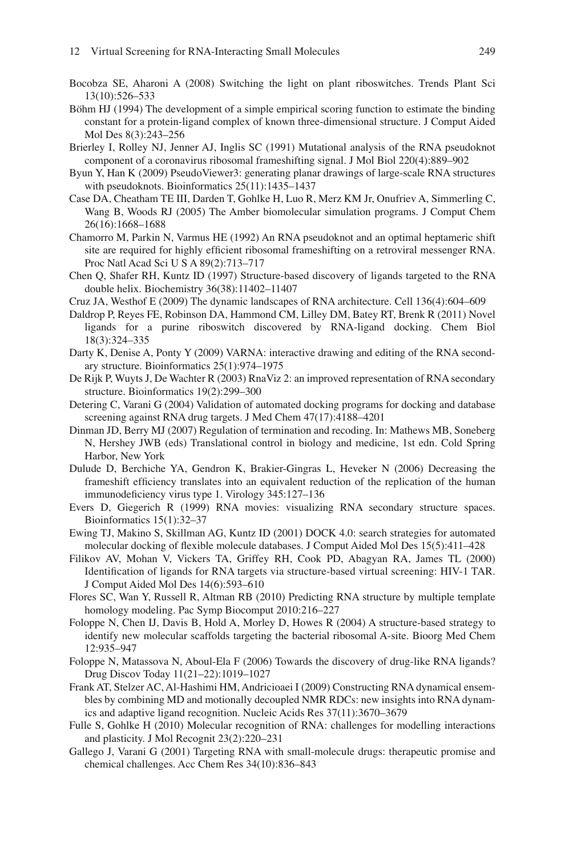- <span id="page-14-0"></span> Bocobza SE, Aharoni A (2008) Switching the light on plant riboswitches. Trends Plant Sci 13(10):526–533
- Böhm HJ (1994) The development of a simple empirical scoring function to estimate the binding constant for a protein-ligand complex of known three-dimensional structure. J Comput Aided Mol Des 8(3):243–256
- Brierley I, Rolley NJ, Jenner AJ, Inglis SC (1991) Mutational analysis of the RNA pseudoknot component of a coronavirus ribosomal frameshifting signal. J Mol Biol 220(4):889–902
- Byun Y, Han K (2009) PseudoViewer3: generating planar drawings of large-scale RNA structures with pseudoknots. Bioinformatics 25(11):1435–1437
- Case DA, Cheatham TE III, Darden T, Gohlke H, Luo R, Merz KM Jr, Onufriev A, Simmerling C, Wang B, Woods RJ (2005) The Amber biomolecular simulation programs. J Comput Chem 26(16):1668–1688
- Chamorro M, Parkin N, Varmus HE (1992) An RNA pseudoknot and an optimal heptameric shift site are required for highly efficient ribosomal frameshifting on a retroviral messenger RNA. Proc Natl Acad Sci U S A 89(2):713–717
- Chen Q, Shafer RH, Kuntz ID (1997) Structure-based discovery of ligands targeted to the RNA double helix. Biochemistry 36(38):11402–11407
- Cruz JA, Westhof E (2009) The dynamic landscapes of RNA architecture. Cell 136(4):604–609
- Daldrop P, Reyes FE, Robinson DA, Hammond CM, Lilley DM, Batey RT, Brenk R (2011) Novel ligands for a purine riboswitch discovered by RNA-ligand docking. Chem Biol 18(3):324–335
- Darty K, Denise A, Ponty Y (2009) VARNA: interactive drawing and editing of the RNA secondary structure. Bioinformatics 25(1):974–1975
- De Rijk P, Wuyts J, De Wachter R (2003) RnaViz 2: an improved representation of RNA secondary structure. Bioinformatics 19(2):299–300
- Detering C, Varani G (2004) Validation of automated docking programs for docking and database screening against RNA drug targets. J Med Chem 47(17):4188–4201
- Dinman JD, Berry MJ (2007) Regulation of termination and recoding. In: Mathews MB, Soneberg N, Hershey JWB (eds) Translational control in biology and medicine, 1st edn. Cold Spring Harbor, New York
- Dulude D, Berchiche YA, Gendron K, Brakier-Gingras L, Heveker N (2006) Decreasing the frameshift efficiency translates into an equivalent reduction of the replication of the human immunodeficiency virus type 1. Virology 345:127-136
- Evers D, Giegerich R (1999) RNA movies: visualizing RNA secondary structure spaces. Bioinformatics 15(1):32–37
- Ewing TJ, Makino S, Skillman AG, Kuntz ID (2001) DOCK 4.0: search strategies for automated molecular docking of flexible molecule databases. J Comput Aided Mol Des 15(5):411-428
- Filikov AV, Mohan V, Vickers TA, Griffey RH, Cook PD, Abagyan RA, James TL (2000) Identification of ligands for RNA targets via structure-based virtual screening: HIV-1 TAR. J Comput Aided Mol Des 14(6):593–610
- Flores SC, Wan Y, Russell R, Altman RB (2010) Predicting RNA structure by multiple template homology modeling. Pac Symp Biocomput 2010:216–227
- Foloppe N, Chen IJ, Davis B, Hold A, Morley D, Howes R (2004) A structure-based strategy to identify new molecular scaffolds targeting the bacterial ribosomal A-site. Bioorg Med Chem 12:935–947
- Foloppe N, Matassova N, Aboul-Ela F (2006) Towards the discovery of drug-like RNA ligands? Drug Discov Today 11(21–22):1019–1027
- Frank AT, Stelzer AC, Al-Hashimi HM, Andricioaei I (2009) Constructing RNA dynamical ensembles by combining MD and motionally decoupled NMR RDCs: new insights into RNA dynamics and adaptive ligand recognition. Nucleic Acids Res 37(11):3670–3679
- Fulle S, Gohlke H (2010) Molecular recognition of RNA: challenges for modelling interactions and plasticity. J Mol Recognit 23(2):220–231
- Gallego J, Varani G (2001) Targeting RNA with small-molecule drugs: therapeutic promise and chemical challenges. Acc Chem Res 34(10):836–843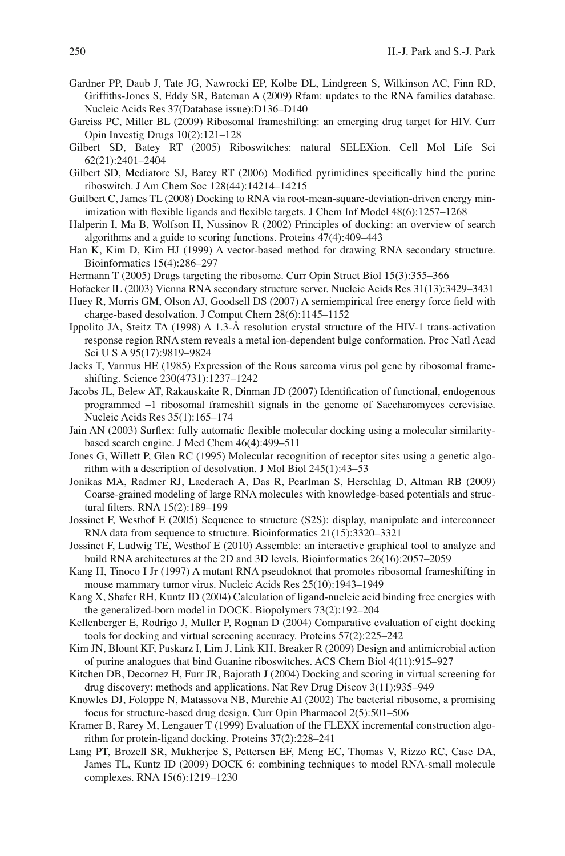- <span id="page-15-0"></span> Gardner PP, Daub J, Tate JG, Nawrocki EP, Kolbe DL, Lindgreen S, Wilkinson AC, Finn RD, Griffiths-Jones S, Eddy SR, Bateman A (2009) Rfam: updates to the RNA families database. Nucleic Acids Res 37(Database issue):D136–D140
- Gareiss PC, Miller BL (2009) Ribosomal frameshifting: an emerging drug target for HIV. Curr Opin Investig Drugs 10(2):121–128
- Gilbert SD, Batey RT (2005) Riboswitches: natural SELEXion. Cell Mol Life Sci 62(21):2401–2404
- Gilbert SD, Mediatore SJ, Batey RT (2006) Modified pyrimidines specifically bind the purine riboswitch. J Am Chem Soc 128(44):14214–14215
- Guilbert C, James TL (2008) Docking to RNA via root-mean-square-deviation-driven energy minimization with flexible ligands and flexible targets. J Chem Inf Model  $48(6)$ :1257–1268
- Halperin I, Ma B, Wolfson H, Nussinov R (2002) Principles of docking: an overview of search algorithms and a guide to scoring functions. Proteins 47(4):409–443
- Han K, Kim D, Kim HJ (1999) A vector-based method for drawing RNA secondary structure. Bioinformatics 15(4):286–297
- Hermann T (2005) Drugs targeting the ribosome. Curr Opin Struct Biol 15(3):355–366
- Hofacker IL (2003) Vienna RNA secondary structure server. Nucleic Acids Res 31(13):3429–3431
- Huey R, Morris GM, Olson AJ, Goodsell DS (2007) A semiempirical free energy force field with charge-based desolvation. J Comput Chem 28(6):1145–1152
- Ippolito JA, Steitz TA (1998) A 1.3-Å resolution crystal structure of the HIV-1 trans-activation response region RNA stem reveals a metal ion-dependent bulge conformation. Proc Natl Acad Sci U S A 95(17):9819–9824
- Jacks T, Varmus HE (1985) Expression of the Rous sarcoma virus pol gene by ribosomal frameshifting. Science 230(4731):1237–1242
- Jacobs JL, Belew AT, Rakauskaite R, Dinman JD (2007) Identification of functional, endogenous programmed −1 ribosomal frameshift signals in the genome of Saccharomyces cerevisiae. Nucleic Acids Res 35(1):165–174
- Jain AN (2003) Surflex: fully automatic flexible molecular docking using a molecular similaritybased search engine. J Med Chem 46(4):499–511
- Jones G, Willett P, Glen RC (1995) Molecular recognition of receptor sites using a genetic algorithm with a description of desolvation. J Mol Biol 245(1):43–53
- Jonikas MA, Radmer RJ, Laederach A, Das R, Pearlman S, Herschlag D, Altman RB (2009) Coarse-grained modeling of large RNA molecules with knowledge-based potentials and structural filters. RNA 15(2):189–199
- Jossinet F, Westhof E (2005) Sequence to structure (S2S): display, manipulate and interconnect RNA data from sequence to structure. Bioinformatics 21(15):3320–3321
- Jossinet F, Ludwig TE, Westhof E (2010) Assemble: an interactive graphical tool to analyze and build RNA architectures at the 2D and 3D levels. Bioinformatics 26(16):2057–2059
- Kang H, Tinoco I Jr (1997) A mutant RNA pseudoknot that promotes ribosomal frameshifting in mouse mammary tumor virus. Nucleic Acids Res 25(10):1943–1949
- Kang X, Shafer RH, Kuntz ID (2004) Calculation of ligand-nucleic acid binding free energies with the generalized-born model in DOCK. Biopolymers 73(2):192–204
- Kellenberger E, Rodrigo J, Muller P, Rognan D (2004) Comparative evaluation of eight docking tools for docking and virtual screening accuracy. Proteins 57(2):225–242
- Kim JN, Blount KF, Puskarz I, Lim J, Link KH, Breaker R (2009) Design and antimicrobial action of purine analogues that bind Guanine riboswitches. ACS Chem Biol 4(11):915–927
- Kitchen DB, Decornez H, Furr JR, Bajorath J (2004) Docking and scoring in virtual screening for drug discovery: methods and applications. Nat Rev Drug Discov 3(11):935–949
- Knowles DJ, Foloppe N, Matassova NB, Murchie AI (2002) The bacterial ribosome, a promising focus for structure-based drug design. Curr Opin Pharmacol 2(5):501–506
- Kramer B, Rarey M, Lengauer T (1999) Evaluation of the FLEXX incremental construction algorithm for protein-ligand docking. Proteins 37(2):228–241
- Lang PT, Brozell SR, Mukherjee S, Pettersen EF, Meng EC, Thomas V, Rizzo RC, Case DA, James TL, Kuntz ID (2009) DOCK 6: combining techniques to model RNA-small molecule complexes. RNA 15(6):1219–1230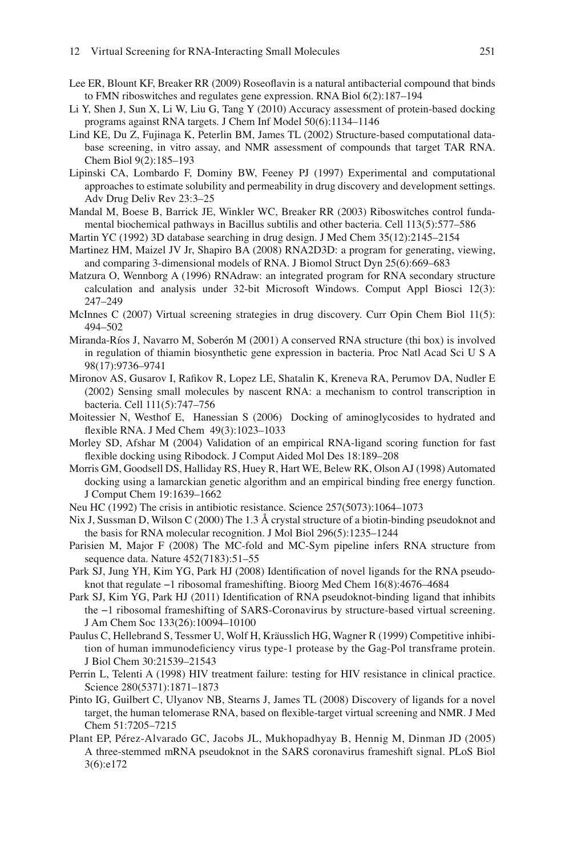- <span id="page-16-0"></span>Lee ER, Blount KF, Breaker RR (2009) Roseoflavin is a natural antibacterial compound that binds to FMN riboswitches and regulates gene expression. RNA Biol 6(2):187–194
- Li Y, Shen J, Sun X, Li W, Liu G, Tang Y (2010) Accuracy assessment of protein-based docking programs against RNA targets. J Chem Inf Model 50(6):1134–1146
- Lind KE, Du Z, Fujinaga K, Peterlin BM, James TL (2002) Structure-based computational database screening, in vitro assay, and NMR assessment of compounds that target TAR RNA. Chem Biol 9(2):185–193
- Lipinski CA, Lombardo F, Dominy BW, Feeney PJ (1997) Experimental and computational approaches to estimate solubility and permeability in drug discovery and development settings. Adv Drug Deliv Rev 23:3–25
- Mandal M, Boese B, Barrick JE, Winkler WC, Breaker RR (2003) Riboswitches control fundamental biochemical pathways in Bacillus subtilis and other bacteria. Cell 113(5):577–586
- Martin YC (1992) 3D database searching in drug design. J Med Chem 35(12):2145–2154
- Martinez HM, Maizel JV Jr, Shapiro BA (2008) RNA2D3D: a program for generating, viewing, and comparing 3-dimensional models of RNA. J Biomol Struct Dyn 25(6):669–683
- Matzura O, Wennborg A (1996) RNAdraw: an integrated program for RNA secondary structure calculation and analysis under 32-bit Microsoft Windows. Comput Appl Biosci 12(3): 247–249
- McInnes C (2007) Virtual screening strategies in drug discovery. Curr Opin Chem Biol 11(5): 494–502
- Miranda-Ríos J, Navarro M, Soberón M (2001) A conserved RNA structure (thi box) is involved in regulation of thiamin biosynthetic gene expression in bacteria. Proc Natl Acad Sci U S A 98(17):9736–9741
- Mironov AS, Gusarov I, Rafikov R, Lopez LE, Shatalin K, Kreneva RA, Perumov DA, Nudler E (2002) Sensing small molecules by nascent RNA: a mechanism to control transcription in bacteria. Cell 111(5):747–756
- Moitessier N, Westhof E, Hanessian S (2006) Docking of aminoglycosides to hydrated and flexible RNA. J Med Chem 49(3):1023-1033
- Morley SD, Afshar M (2004) Validation of an empirical RNA-ligand scoring function for fast flexible docking using Ribodock. J Comput Aided Mol Des 18:189–208
- Morris GM, Goodsell DS, Halliday RS, Huey R, Hart WE, Belew RK, Olson AJ (1998) Automated docking using a lamarckian genetic algorithm and an empirical binding free energy function. J Comput Chem 19:1639–1662
- Neu HC (1992) The crisis in antibiotic resistance. Science 257(5073):1064–1073
- Nix J, Sussman D, Wilson C (2000) The 1.3 Å crystal structure of a biotin-binding pseudoknot and the basis for RNA molecular recognition. J Mol Biol 296(5):1235–1244
- Parisien M, Major F (2008) The MC-fold and MC-Sym pipeline infers RNA structure from sequence data. Nature 452(7183):51–55
- Park SJ, Jung YH, Kim YG, Park HJ (2008) Identification of novel ligands for the RNA pseudoknot that regulate −1 ribosomal frameshifting. Bioorg Med Chem 16(8):4676–4684
- Park SJ, Kim YG, Park HJ (2011) Identification of RNA pseudoknot-binding ligand that inhibits the −1 ribosomal frameshifting of SARS-Coronavirus by structure-based virtual screening. J Am Chem Soc 133(26):10094–10100
- Paulus C, Hellebrand S, Tessmer U, Wolf H, Kräusslich HG, Wagner R (1999) Competitive inhibition of human immunodeficiency virus type-1 protease by the Gag-Pol transframe protein. J Biol Chem 30:21539–21543
- Perrin L, Telenti A (1998) HIV treatment failure: testing for HIV resistance in clinical practice. Science 280(5371):1871–1873
- Pinto IG, Guilbert C, Ulyanov NB, Stearns J, James TL (2008) Discovery of ligands for a novel target, the human telomerase RNA, based on flexible-target virtual screening and NMR. J Med Chem 51:7205–7215
- Plant EP, Pérez-Alvarado GC, Jacobs JL, Mukhopadhyay B, Hennig M, Dinman JD (2005) A three-stemmed mRNA pseudoknot in the SARS coronavirus frameshift signal. PLoS Biol 3(6):e172